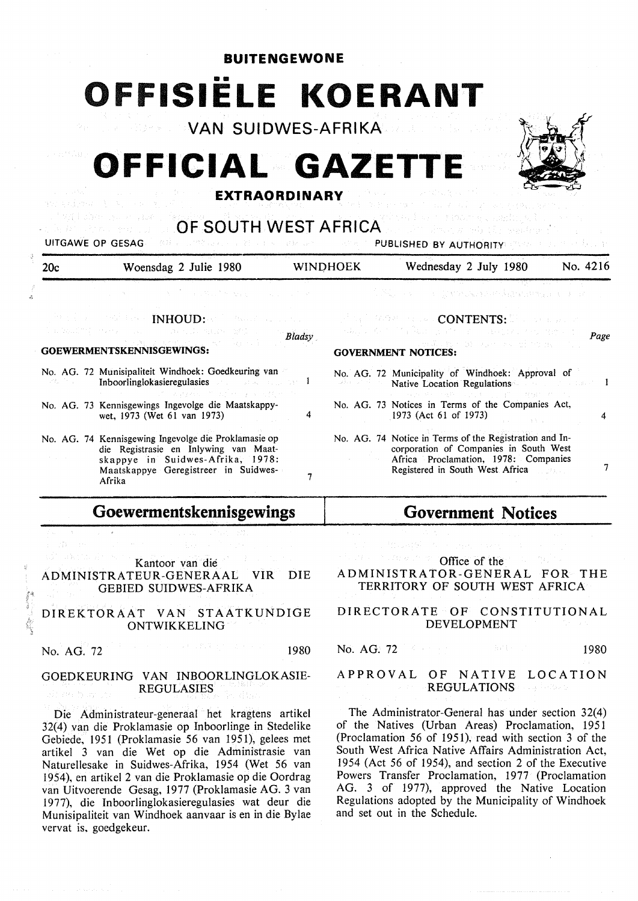## **BUITENGEWONE**  •• **OFFISIELE KOERANT**

**VAN SUIDWES-AFRIKA** 

# **OFFICIAL GAZET**



#### **EXTRAORDINARY**

| 20c          | Woensdag 2 Julie 1980                                                                                                                                                                                              | <b>WINDHOEK</b> |                    | Wednesday 2 July 1980                                                                                                                                                                                                                                                                                               | No. 4216 |
|--------------|--------------------------------------------------------------------------------------------------------------------------------------------------------------------------------------------------------------------|-----------------|--------------------|---------------------------------------------------------------------------------------------------------------------------------------------------------------------------------------------------------------------------------------------------------------------------------------------------------------------|----------|
|              | アータープー ようぎし ひゃ ななお アールコール たいか                                                                                                                                                                                      |                 |                    | A Miller of the Company of Allmaring protocol                                                                                                                                                                                                                                                                       |          |
|              | $\mathbb{P}^n$ is a set of $\mathbb{P}^n$ . The $\mathbb{P}^n$ in the $\mathbb{P}^n$ -set of $\mathbb{P}^n$ , we have the $\mathbb{P}^n$<br>これは本地的などであります。 しんこうしゃ あいとうけん あんがい 投れ会 しょう<br>GOEWERMENTSKENNISGEWINGS: | <b>Bladsy</b>   |                    | , the interference of $\mathop{\mathrm{CONTENTS}}\nolimits;\mathbb{S}$ . The second in<br>ada jir kan shekara ya mkoa wa wanda wakazi wa wakazi<br>a confidence of the solutions of<br><b>GOVERNMENT NOTICES:</b>                                                                                                   | Page     |
| ながくし アール・バード | No. AG. 72 Munisipaliteit Windhoek: Goedkeuring van<br>Inboorlinglokasieregulasies and a state of the late<br>インファー プリカ 2008 アクセプター おいとばなり アイ                                                                      |                 | alaka ny tokonomin | No. AG. 72 Municipality of Windhoek: Approval of<br>Native Location Regulations and the contract of the location of the contract of the contract of the contract of the contract of the contract of the contract of the contract of the contract of the contract of the contract o<br>第二十八四十八十九年 医阴道 医马克里斯氏 网络红色植物的 |          |
|              | No. AG. 73 Kennisgewings Ingevolge die Maatskappy-<br>wet, 1973 (Wet 61 van 1973)                                                                                                                                  | 4               |                    | No. AG. 73 Notices in Terms of the Companies Act,<br>1973 (Act 61 of 1973)                                                                                                                                                                                                                                          | 4        |
|              | No. AG. 74 Kennisgewing Ingevolge die Proklamasie op<br>die Registrasie en Inlywing van Maat-<br>skappye in Suidwes-Afrika, 1978:<br>Maatskappye Geregistreer in Suidwes-<br>Afrika                                |                 |                    | No. AG. 74 Notice in Terms of the Registration and In-<br>corporation of Companies in South West<br>Africa Proclamation, 1978: Companies<br>Registered in South West Africa                                                                                                                                         |          |

### **Goewermentskennisgewings**

Kantoor van die ADMINISTRATEUR-GENERAAL VIR DIE GEBIED SUIDWES-AFRIKA

#### DIREKTORAAT VAN STAATKUNDIGE ONTWIKKELING

No. AG. 72 1980

#### GOEDKEURING VAN INBOORLINGLOKASIE-REGULASIES

Die Administrateur-generaal het kragtens artikel 32(4) van die Proklamasie op Inboorlinge in Stedelike Gebiede, 1951 (Proklamasie 56 van 1951), gelees met artikel 3 van die Wet op die Administrasie van Naturellesake in Suidwes-Afrika, 1954 (Wet 56 van 1954), en artikel 2 van die Proklamasie op die Oordrag van Uitvoerende Gesag, 1977 (Proklamasie AG. 3 van 1977), die Inboorlinglokasieregulasies wat deur die Munisipaliteit van Windhoek aanvaar is en in die Bylae vervat is, goedgekeur.

## **Government Notices**

Office of the

#### ADMINISTRATOR-GENERAL FOR THE TERRITORY OF SOUTH WEST AFRICA

#### DIRECTORATE OF CONSTITUTIONAL DEVELOPMENT

No. AG. 72 1980

#### APPROVAL OF NATIVE LOCATION REGULATIONS **REGULAR**

The Administrator-General has under section 32(4) of the Natives (Urban Areas) Proclamation, 1951 (Proclamation 56 of 1951), read with section 3 of the South West Africa Native Affairs Administration Act, I 954 (Act 56 of 1954), and section 2 of the Executive Powers Transfer Proclamation, 1977 (Proclamation AG. 3 of 1977), approved the Native Location Regulations adopted by the Municipality of Windhoek and set out in the Schedule.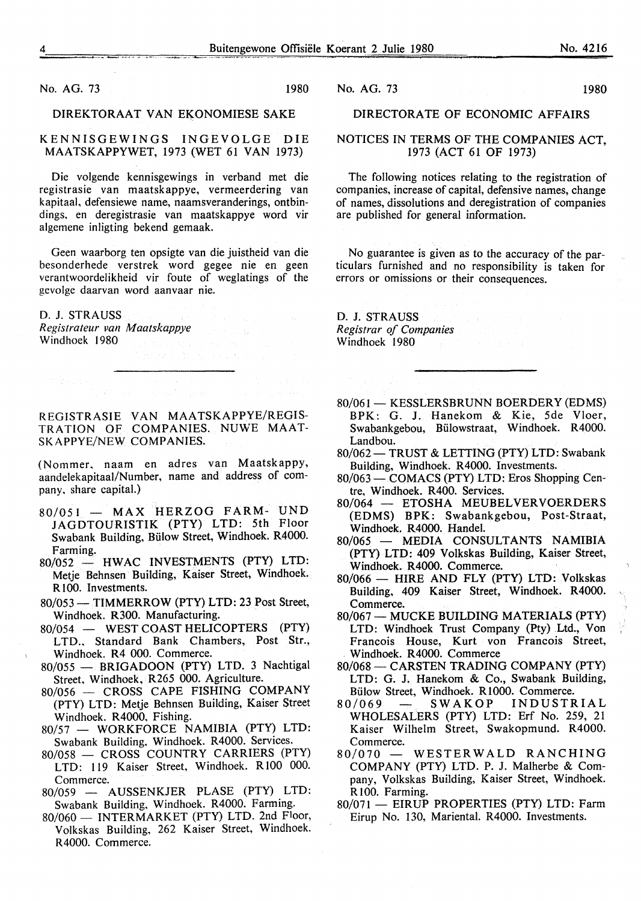No. AG. 73 1980

#### **DIREKTORAAT VAN EKONOMIESE SAKE**

KENNISGEWINGS INGEVOLGE DIE **MAATSKAPPYWET,** 1973 (WET 61 VAN 1973)

Die volgende kennisgewings in verband met die registrasie van maatskappye, vermeerdering van kapitaal, defensiewe name, naamsveranderings, ontbindings, en deregistrasie van maatskappye word vir algemene inligting bekend gemaak.

Geen waarborg ten opsigte van die juistheid van die besonderhede verstrek word gegee nie en geen verantwoordelikheid vir foute of weglatings of the gevolge daarvan word aanvaar nie.

D. J. STRAUSS *Registrateur van Maatskappye*  Windhoek 1980

REGISTRASIE VAN MAATSKAPPYE/REGIS-TRATION OF COMPANIES. NUWE MAAT-SKAPPYE/NEW COMPANIES.

(Nommer, naam en adres van Maatskappy, aandelekapitaal/Number, name and address of company. share capital.)

- $80/051$  MAX HERZOG FARM- UND JAGDTOURISTIK (PTY) LTD: 5th Floor Swabank Building, Biilow Street, Windhoek. R4000. Farming.
- 80/052 HWAC INVESTMENTS (PTY) LTD: Metje Behnsen Building, Kaiser Street, Windhoek. R<sub>100</sub>. Investments.
- 80/053-TIMMERROW (PTY) LTD: 23 Post Street, Windhoek. R300. Manufacturing.
- 80/054 WEST COAST HELICOPTERS (PTY) LTD.. Standard Bank Chambers, Post Str., Windhoek. R4 000. Commerce.
- 80/055 BRIGADOON (PTY) LTD. 3 Nachtigal Street, Windhoek, R265 000. Agriculture.
- 80/056 CROSS CAPE FISHING COMPANY (PTY) LTD: Metje Behnsen Building, Kaiser Street Windhoek. R4000, Fishing.
- 80/57 WORKFORCE NAMIBIA (PTY) LTD: Swabank Building. Windhoek. R4000. Services.
- 80/058 CROSS COUNTRY CARRIERS (PTY) LTD: 119 Kaiser Street, Windhoek. R 100 000. Commerce.
- 80/059 AUSSENKJER PLASE (PTY) LTD: Swabank Building, Windhoek. R4000. Farming.
- 80/060 INTERMARKET (PTY) LTD. 2nd Floor, Volkskas Building, 262 Kaiser Street, Windhoek. R4000. Commerce.

No. AG. 73 1980

#### DIRECTORATE OF ECONOMIC AFFAIRS

#### NOTICES IN TERMS OF THE COMPANIES ACT, 1973 (ACT 61 OF 1973)

The following notices relating to the registration of companies, increase of capital, defensive names, change of names, dissolutions and deregistration of companies are published for general information.

No guarantee is given as to the accuracy of the particulars furnished and no responsibility is taken for errors or omissions or their consequences.

D. J. STRAUSS *Registrar of Companies*  Windhoek 1980

- 80/061 KESSLERSBRUNN BOERDERY (EDMS) BPK: G. J. Hanekom & Kie, 5de Vloer, Swabankgebou, Biilowstraat, Windhoek. R4000. Landbou.
- 80/062 TRUST & LETTING (PTY) LTD: Swabank Building, Windhoek. R4000. Investments.
- 80/063- COMACS (PTY) LTD: Eros Shopping Centre, Windhoek. R400. Services.
- 80/064 ETOSHA MEUBELVERVOERDERS (EDMS) BPK: Swabankgebou, Post-Straat, Windhoek. R4000. Handel.
- 80/065 MEDIA CONSULTANTS NAMIBIA (PTY) LTD: 409 Volkskas Building, Kaiser Street, Windhoek. R4000. Commerce.
- 80/066 HIRE AND FLY (PTY) LTD: Volkskas Building, 409 Kaiser Street, Windhoek. R4000. Commerce.
- 80/067 MUCKE BUILDING MATERIALS (PTY) LTD: Windhoek Trust Company (Pty) .Ltd., Von Francois House, Kurt von Francois Street, Windhoek. R4000. Commerce
- 80/068 CARSTEN TRADING COMPANY (PTY) LTD: G. J. Hanekom & Co., Swabank Building, Bülow Street, Windhoek. R1000. Commerce.<br> $D/069$  - SWAKOP INDUSTE
- 80/069 SW AKOP INDUSTRIAL WHOLESALERS (PTY) LTD: Erf No. 259, 21 Kaiser Wilhelm Street, Swakopmund. R4000. Commerce.
- 80/070 WESTERWALD RANCHING COMPANY (PTY) LTD. P. J. Malherbe & Company, Volkskas Building, Kaiser Street, Windhoek. R<sub>100</sub>. Farming.
- 80/071 EIRUP PROPERTIES (PTY) LTD: Farm Eirup No. 130, Mariental. R4000. Investments.

 $\ddot{i}$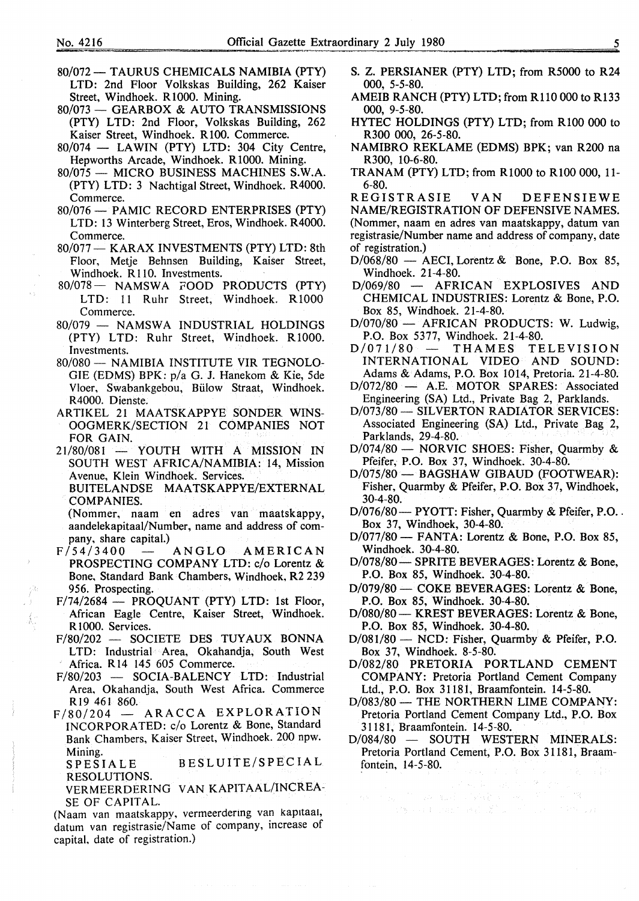- 80/072 TAURUS CHEMICALS NAMIBIA (PTY) LTD: 2nd Floor Volkskas Building, 262 Kaiser Street, Windhoek. R1000. Mining.
- 80/073 GEARBOX & AUTO TRANSMISSIONS (PTY) LTD: 2nd Floor, Volkskas Building, 262 Kaiser Street, Windhoek. R 100. Commerce.
- $80/074$  LAWIN (PTY) LTD: 304 City Centre, Hepworths Arcade, Windhoek. R1000. Mining.
- 80/075 MICRO BUSINESS MACHINES S.W.A. (PTY) LTD: 3 Nachtigal Street, Windhoek. R4000. Commerce.
- 80/076- PAMIC RECORD ENTERPRISES (PTY) LTD: 13 Winterberg Street, Eros, Windhoek. R4000. Commerce.
- 80/077 KARAX INVESTMENTS (PTY) LTD: 8th Floor, Metje Behnsen Building, Kaiser Street, Windhoek. R 110. Investments.
- 80/078- NAMSWA FOOD PRODUCTS (PTY) LTD: 11 Ruhr Street, Windhoek. R1000 Commerce.
- 80/079 NAMSWA INDUSTRIAL HOLDINGS (PTY) LTD: Ruhr Street, Windhoek. R1000. Investments.
- 80/080 NAMIBIA INSTITUTE VIR TEGNOLO-GIE (EDMS) BPK: p/a G. J. Hanekom & Kie, 5de Vloer, Swabankgebou, Billow Straat, Windhoek. R4000. Dienste.
- ARTIKEL 21 MAATSKAPPYE SONDER **WINS-**OOGMERK/SECTION 21 COMPANIES NOT FOR GAIN.
- $21/80/081$  YOUTH WITH A MISSION IN SOUTH WEST AFRICA/NAMIBIA: 14, Mission Avenue, Klein Windhoek. Services.

BUITELANDSE MAATSKAPPYE/EXTERNAL **COMPANIES.** 

(Nommer, naam en adres van maatskappy, aandelekapitaal/Number, name and address of company, share capital.)

- $F/54/3400$  ANGLO AMERICAN PROSPECTING COMPANY LTD: c/o Lorentz & Bone, Standard Bank Chambers, Windhoek, R2 239 956. Prospecting.
- F/74/2684 PROQUANT (PTY) LTD: 1st Floor, African Eagle Centre, Kaiser Street, Windhoek. R<sub>1000</sub>. Services.
- F/80/202 SOCIETE DES TUYAUX BONNA LTD: Industrial Area, Okahandia, South West Africa. R 14 145 605 Commerce.
- F/80/203 SOCIA-BALENCY LTD: Industrial Area, Okahandja, South West Africa. Commerce RI9 461 860.
- $F/80/204$  ARACCA EXPLORATION INCORPORATED: c/o Lorentz & Bone, Standard Bank Chambers, Kaiser Street, Windhoek. 200 npw. Mining.

SPESIALE BESLUITE/SPECIAL RESOLUTIONS.

VERMEER DERING VAN KAPITAAL/INCREA-SE OF CAPITAL.

(Naam van maatskappy, vermeerdering van kapitaal, datum van registrasie/Name of company, increase of capital, date of registration.)

- S. Z. PERSIANER (PTY) LTD; from R5000 to R24 000, 5-5-80.
- AMEIB RANCH (PTY) LTD; from Rll0 000 to R133 000, 9-5-80.
- HYTEC HOLDINGS (PTY) LTD; from RlOO 000 to R300 000, 26-5-80.
- NAMIBRO REKLAME (EDMS) BPK; van R200 na R300, 10-6-80.
- TRANAM (PTY) LTD; from RlOOO to RlOO 000, 11- 6-80.

REGISTRASIE VAN DEFENSIEWE NAME/REGISTRATION OF DEFENSIVE NAMES. (Nommer, naam en adres van maatskappy, datum van registrasie/Number name and address of company, date of registration.)

- $D/068/80$  AECI, Lorentz & Bone, P.O. Box 85, Windhoek. 21-4-80.
- D/069/80 AFRICAN EXPLOSIVES AND CHEMICAL INDUSTRIES: Lorentz & Bone, P.O. Box 85, Windhoek. 21-4-80.
- D/070/80 AFRICAN PRODUCTS: W. Ludwig, P.O. Box 5377, Windhoek. 21-4-80.<br>  $/071/80$  - THAMES TELEVISION
- $D/071/80$  THAMES TELEVISION INTERNATIONAL VIDEO AND SOUND: Adams & Adams, P.O. Box 1014, Pretoria. 21-4-80.
- D/072/80 A.E. MOTOR SPARES: Associated Engineering (SA) Ltd., Private Bag 2, Parklands.
- D/073/80- SILVERTON RADIATOR SERVICES: Associated Engineering (SA) Ltd., Private Bag 2, Parklands, 29-4-80.
- D/074/80 NORVIC SHOES: Fisher, Quarmby & Pfeifer, P.O. Box 37, Windhoek. 30-4-80.
- D/075/80 BAGSHAW GIBAUD (FOOTWEAR): Fisher, Quarmby & Pfeifer, P.O. Box 37, Windhoek, 30-4-80.
- D/076/80 PYOTT: Fisher, Quarmby & Pfeifer, P.O. Box 37, Windhoek, 30-4-80.
- D/077/80- FANTA: Lorentz & Bone, P.O. Box 85, Windhoek. 30-4-80.
- D/078/80 SPRITE BEVERAGES: Lorentz & Bone, P.O. Box 85, Windhoek. 30-4-80.
- D/079/80 COKE BEVERAGES: Lorentz & Bone, P.O. Box 85, Windhoek. 30-4-80.
- D/080/80 KREST BEVERAGES: Lorentz & Bone, P.O. Box 85, Windhoek. 30-4-80.
- D/081/80 NCD: Fisher, Ouarmby & Pfeifer, P.O. Box 37, Windhoek. 8-5-80.
- D/082/80 PRETORIA PORTLAND CEMENT COMPANY: Pretoria Portland Cement Company Ltd., P.O. Box 31181, Braamfontein. 14-5-80.
- D/083/80 THE NORTHERN LIME COMPANY: Pretoria Portland Cement Company Ltd., P.O. Box 31181, Braamfontein. 14-5-80.
- D/084/80 SOUTH WESTERN MINERALS: Pretoria Portland Cement, P.O. Box 31181, Braamfontein, 14-5-80.

 $\label{eq:G1} \begin{split} \mathcal{G}^{(k)}_{\mathcal{G}} &\approx \frac{1}{2} \mathcal{G}_{\mathcal{G}} \left[ \begin{array}{cc} \mathcal{G}_{\mathcal{G}} \left( \mathcal{G}_{\mathcal{G}} \right) \mathcal{G}_{\mathcal{G}} \left( \mathcal{G}_{\mathcal{G}} \right) \mathcal{G}_{\mathcal{G}} \left( \mathcal{G}_{\mathcal{G}} \right) \mathcal{G}_{\mathcal{G}} \left( \mathcal{G}_{\mathcal{G}} \right) \mathcal{G}_{\mathcal{G}} \left( \mathcal{G}_{\mathcal{G}} \right) \mathcal{G}_{\math$ 

**Conservation of the Conservation**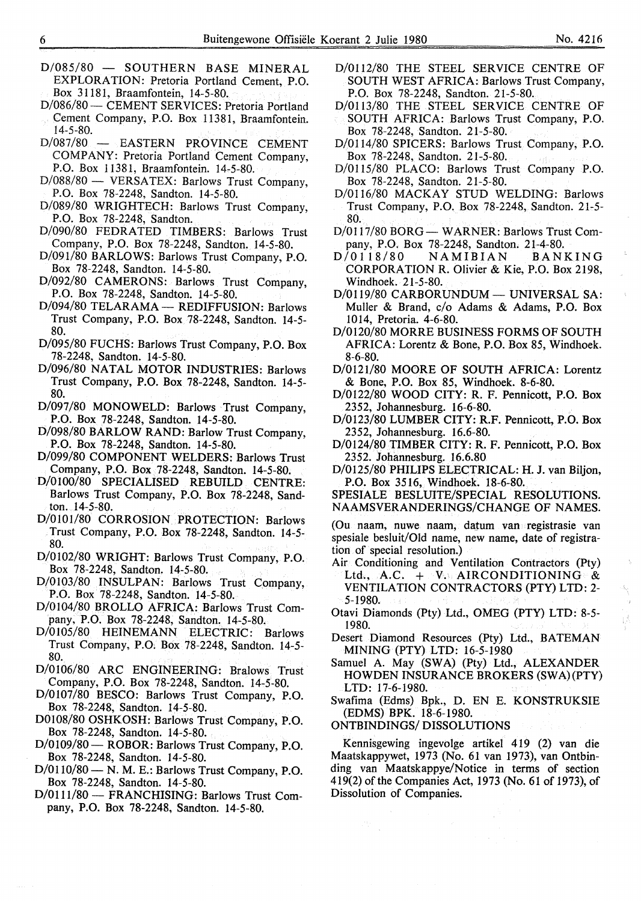- $D/085/80 -$  SOUTHERN BASE MINERAL EXPLORATION: Pretoria Portland Cement, P.O. Box 31181, Braamfontein, 14-5-80.
- D/086/80 CEMENT SERVICES: Pretoria Portland
- Cement Company, P.O. Box 11381, Braamfontein. 14-5-80.
- D/087/80 EASTERN PROVINCE CEMENT COMPANY: Pretoria Portland Cement Company, P.O. Box 11381, Braamfontein. 14-5-80.
- D/088/80 VERSATEX: Barlows Trust Company, P.O. Box 78-2248, Sandton. 14-5-80.
- D/089/80 WRIGHTECH: Barlows Trust Company, P.O. Box 78-2248, Sandton.
- D/090/80 FEDRATED TIMBERS: Barlows Trust Company, P.O. Box 78-2248, Sandton. 14-5-80.
- D/091/80 BARLOWS: Barlows Trust Company, P.O. Box 78-2248, Sandton. 14-5-80.
- D/092/80 CAMERONS: Barlows Trust Company, P.O. Box 78-2248, Sandton. 14-5-80.
- D/094/80 TELARAMA REDIFFUSION: Barlows Trust Company, P.O. Box 78-2248, Sandton. 14-5- 80.
- D/095/80 FUCHS: Barlows Trust Company, P.O. Box 78-2248, Sandton. 14-5-80.
- D/096/80 NATAL MOTOR INDUSTRIES: Barlows Trust Company, P.O. Box 78-2248, Sandton. 14-5- 80.
- D/097/80 MONOWELD: Barlows Trust Company, P.O. Box 78-2248, Sandton. 14-5-80.
- D/098/80 BARLOW RAND: Barlow Trust Company, P.O. Box 78-2248, Sandton. 14-5-80.
- D/099/80 COMPONENT WELDERS: Barlows Trust Company, P.O. Box 78-2248, Sandton. 14-5-80.
- D/0100/80 SPECIALISED REBUILD CENTRE: Barlows Trust Company, P.O. Box 78-2248, Sandton. 14-5-80.
- D/0101/80 CORROSION PROTECTION: Barlows Trust Company, P.O. Box 78-2248, Sandton. 14-5- 80.
- D/0102/80 WRIGHT: Barlows Trust Company, P.O. Box 78-2248, Sandton. 14-5-80.
- D/0103/80 INSULPAN: Barlows Trust Company, P.O. Box 78-2248, Sandton. 14-5-80.
- D/0104/80 BROLLO AFRICA: Barlows Trust Company, P.O. Box 78-2248, Sandton. 14-5-80.
- D/0105/80 HEINEMANN ELECTRIC: Barlows Trust Company, P.O, Box 78-2248, Sandton. 14-5- 80.
- D/0106/80 ARC ENGINEERING: Bralows Trust Company, P.O. Box 78-2248, Sandton. 14-5-80.
- D/0107/80 BESCO: Barlows Trust Company, P.O. Box 78-2248, Sandton. 14-5-80.
- D0108/80 OSHKOSH: Barlows Trust Company, P.O. Box 78-2248, Sandton. 14-5-80.
- D/0109/80 ROBOR: Barlows Trust Company, P.O. Box 78-2248, Sandton. 14-5-80.
- D/0110/80- N. M. E.: Barlows Trust Company, P.O. Box 78-2248, Sandton. 14-5-80.
- D/0111/80 FRANCHISING: Barlows Trust Company, P.O. Box 78-2248, Sandton. 14-5-80.
- D/0112/80 THE STEEL SERVICE CENTRE OF SOUTH WEST AFRICA: Barlows Trust Company, P.O. Box 78-2248, Sandton. 21-5-80.
- D/0113/80 THE STEEL SERVICE CENTRE OF SOUTH AFRICA: Barlows Trust Company, P.O. Box 78-2248, Sandton. 21-5-80.
- D/0114/80 SPICERS: Barlows Trust Company, P.O. Box 78-2248, Sandton. 21-5-80.
- D/0115/80 PLACO: Barlows Trust Company P.O. Box 78-2248, Sandton. 21-5-80.
- D/0116/80 MACKAY STUD WELDING: Barlows Trust Company, P.O. Box 78-2248, Sandton. 21-5- 80.
- D/0117/80 BORG WARNER: Barlows Trust Company, P.O. Box 78-2248, Sandton. 21-4-80.<br> $D/0118/80$  NAMIBIAN BANKING
- **NAMIBIAN** CORPORATION R. Olivier & Kie, P.O. Box 2198, Windhoek. 21-5-80.
- D/0119/80 CARBORUNDUM UNIVERSAL SA: Muller & Brand, c/o Adams & Adams, P.O. Box 1014, Pretoria. 4-6-80.
- D/0120/80 MORRE BUSINESS FORMS OF SOUTH AFRICA: Lorentz & Bone, P.O. Box 85, Windhoek. 8-6-80.
- D/0121/80 MOORE OF SOUTH AFRICA: Lorentz & Bone, P.O. Box 85, Windhoek. 8-6-80.
- D/0122/80 WOOD CITY: R. F. Pennicott, P.O. Box 2352, Johannesburg. 16-6-80.
- D/0123/80 LUMBER CITY: R.F. Pennicott, P.O. Box 2352, Johannesburg. 16.6-80.
- D/0124/80 TIMBER CITY: R. F. Pennicott, P.O. Box 2352. Johannesburg. 16.6.80
- D/0125/80 PHILIPS ELECTRICAL: H.J. van Biljon, P.O. Box 3516, Windhoek. 18-6-80.
- SPESIALE BESLUITE/SPECIAL RESOLUTIONS. NAAMSVERANDERINGS/CHANGE OF NAMES.

(Ou naam, nuwe naam, datum van registrasie van spesiale besluit/Old name, new name, date of registration of special resolution.)

- Air Conditioning and Ventilation Contractors (Pty) Ltd.,  $A.C.$  + V. AIRCONDITIONING & VENTILATION CONTRACTORS (PTY) LTD: 2- 5-1980.
- Otavi Diamonds (Pty) Ltd., OMEG (PTY) LTD: 8-5- 1980.
- Desert Diamond Resources (Pty) Ltd., BATEMAN MINING (PTY) LTD: 16-5-1980
- Samuel A. May (SWA) (Pty) Ltd., ALEXANDER HOWDEN INSURANCE BROKERS (SWA)(PTY) LTD: 17-6-1980.
- Swafima (Edms) Bpk., D. EN E. KONSTRUKSIE (EDMS) BPK. 18-6-1980.
- ONTBINDINGS/ DISSOLUTIONS

 $\sim$ 

Kennisgewing ingevolge artikel 419 (2) van die Maatskappywet, 1973 (No. 61 van 1973), van Ontbinding van Maatskappye/Notice in terms of section 419(2) of the Companies Act, 1973 (No. 61 of 1973), of Dissolution of Companies.